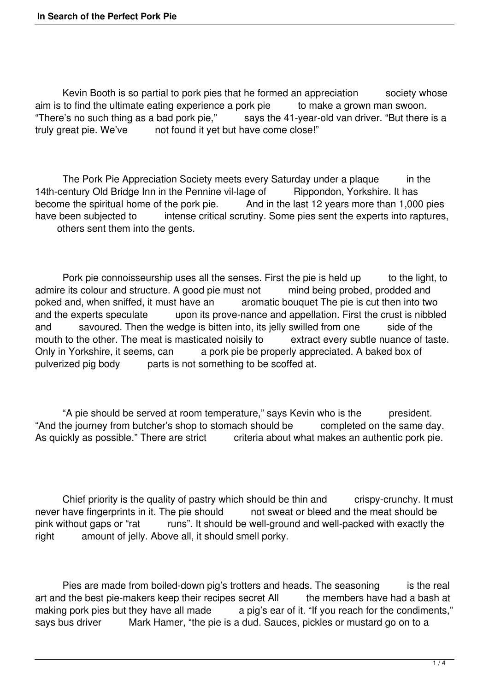Kevin Booth is so partial to pork pies that he formed an appreciation society whose<br>to find the ultimate eating experience a pork pie to make a grown man swoon. aim is to find the ultimate eating experience a pork pie "There's no such thing as a bad pork pie," says the "There's no such thing as a bad pork pie," says the 41-year-old van driver. "But there is a truly great pie. We've not found it yet but have come close!" not found it yet but have come close!"

The Pork Pie Appreciation Society meets every Saturday under a plaque in the 14th-century Old Bridge Inn in the Pennine vil-lage of Rippondon, Yorkshire. It has<br>become the spiritual home of the pork pie. And in the last 12 years more than 1,000 become the spiritual home of the pork pie. And in the last 12 years more than 1,000 pies<br>have been subiected to intense critical scrutiny. Some pies sent the experts into raptures intense critical scrutiny. Some pies sent the experts into raptures, others sent them into the gents.

Pork pie connoisseurship uses all the senses. First the pie is held up to the light, to admire its colour and structure. A good pie must not mind being probed, prodded and poked and, when sniffed, it must have an aromatic bouquet The pie is cut then into two poked and, when sniffed, it must have an aromatic bouquet The pie is cut then into two<br>and the experts speculate upon its prove-nance and appellation. First the crust is nibble upon its prove-nance and appellation. First the crust is nibbled and savoured. Then the wedge is bitten into, its jelly swilled from one side of the mouth to the other. The meat is masticated noisily to extract every subtle nuance of taste. Only in Yorkshire, it seems, can a pork pie be properly appreciated. A baked box of pulverized pig body parts is not something to be scoffed at.

 "A pie should be served at room temperature," says Kevin who is the president. "And the journey from butcher's shop to stomach should be completed on the same day.<br>As quickly as possible." There are strict criteria about what makes an authentic pork pie. criteria about what makes an authentic pork pie.

Chief priority is the quality of pastry which should be thin and crispy-crunchy. It must have fingerprints in it. The pie should not sweat or bleed and the meat should be never have fingerprints in it. The pie should<br>pink without gaps or "rat runs". It should runs". It should be well-ground and well-packed with exactly the right amount of jelly. Above all, it should smell porky.

Pies are made from boiled-down pig's trotters and heads. The seasoning is the real<br>d the best pie-makers keep their recipes secret All interment the members have had a bash at art and the best pie-makers keep their recipes secret All making pork pies but they have all made a pig's ear of it. "If you reach for the condiments,"<br>savs bus driver a Mark Hamer. "the pie is a dud. Sauces, pickles or mustard go on to a Mark Hamer, "the pie is a dud. Sauces, pickles or mustard go on to a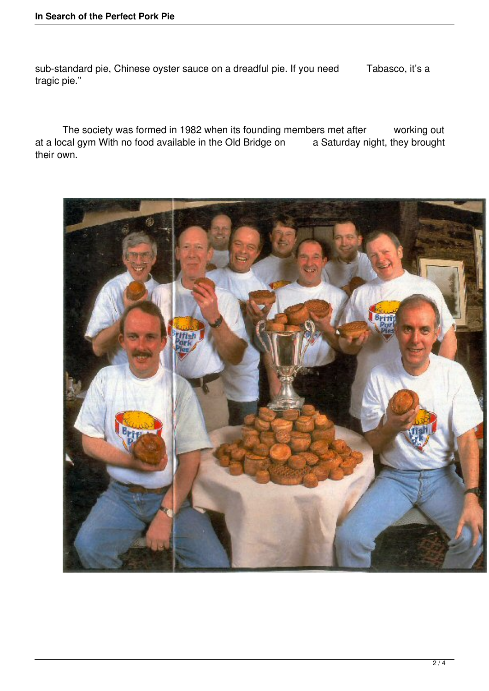sub-standard pie, Chinese oyster sauce on a dreadful pie. If you need Tabasco, it's a tragic pie."

 The society was formed in 1982 when its founding members met after working out at a local gym With no food available in the Old Bridge on a Saturday night, they brought their own.

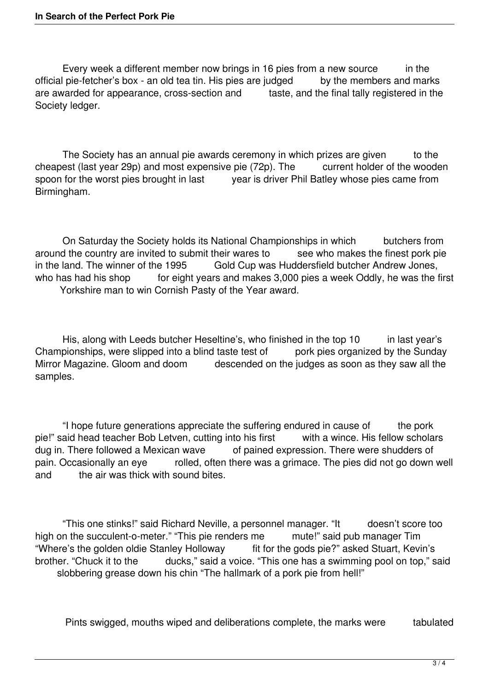Every week a different member now brings in 16 pies from a new source in the official pie-fetcher's box - an old tea tin. His pies are judged by the members and marks are awarded for appearance, cross-section and taste, and the final tally registered in the Society ledger.

The Society has an annual pie awards ceremony in which prizes are given to the cheapest (last year 29p) and most expensive pie (72p). The current holder of the wooden<br>spoon for the worst pies brought in last vear is driver Phil Batley whose pies came from year is driver Phil Batley whose pies came from Birmingham.

 On Saturday the Society holds its National Championships in which butchers from around the country are invited to submit their wares to see who makes the finest pork pie<br>in the land. The winner of the 1995 Gold Cup was Huddersfield butcher Andrew Jones. Gold Cup was Huddersfield butcher Andrew Jones, who has had his shop for eight years and makes 3,000 pies a week Oddly, he was the first Yorkshire man to win Cornish Pasty of the Year award.

His, along with Leeds butcher Heseltine's, who finished in the top 10 in last year's Championships, were slipped into a blind taste test of pork pies organized by the Sunday<br>Mirror Magazine. Gloom and doom descended on the judges as soon as they saw all the descended on the judges as soon as they saw all the samples.

 "I hope future generations appreciate the suffering endured in cause of the pork pie!" said head teacher Bob Letven, cutting into his first with a wince. His fellow scholars dug in. There followed a Mexican wave of pained expression. There were shudders of of pained expression. There were shudders of pain. Occasionally an eye rolled, often there was a grimace. The pies did not go down well and the air was thick with sound bites.

"This one stinks!" said Richard Neville, a personnel manager. "It doesn't score too<br>in the succulent-o-meter." "This pie renders me mute!" said pub manager Tim high on the succulent-o-meter." "This pie renders me mute!" said pub manager Tim<br>"Where's the golden oldie Stanley Holloway fit for the gods pie?" asked Stuart, Kevin's "Where's the golden oldie Stanley Holloway brother. "Chuck it to the ducks," said a voice. "This one has a swimming pool on top," said slobbering grease down his chin "The hallmark of a pork pie from hell!"

Pints swigged, mouths wiped and deliberations complete, the marks were tabulated